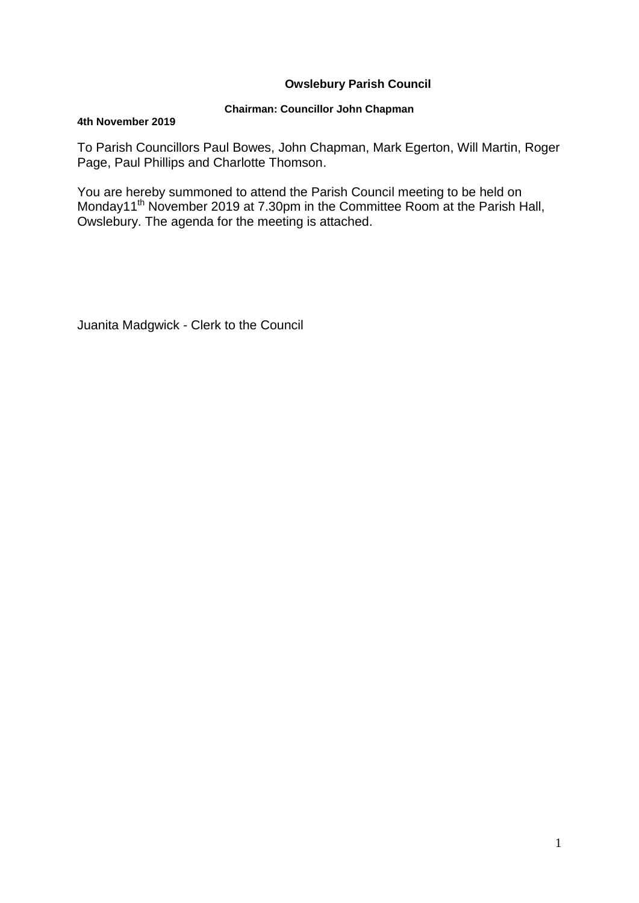# **Owslebury Parish Council**

## **Chairman: Councillor John Chapman**

### **4th November 2019**

To Parish Councillors Paul Bowes, John Chapman, Mark Egerton, Will Martin, Roger Page, Paul Phillips and Charlotte Thomson.

You are hereby summoned to attend the Parish Council meeting to be held on Monday11<sup>th</sup> November 2019 at 7.30pm in the Committee Room at the Parish Hall, Owslebury. The agenda for the meeting is attached.

Juanita Madgwick - Clerk to the Council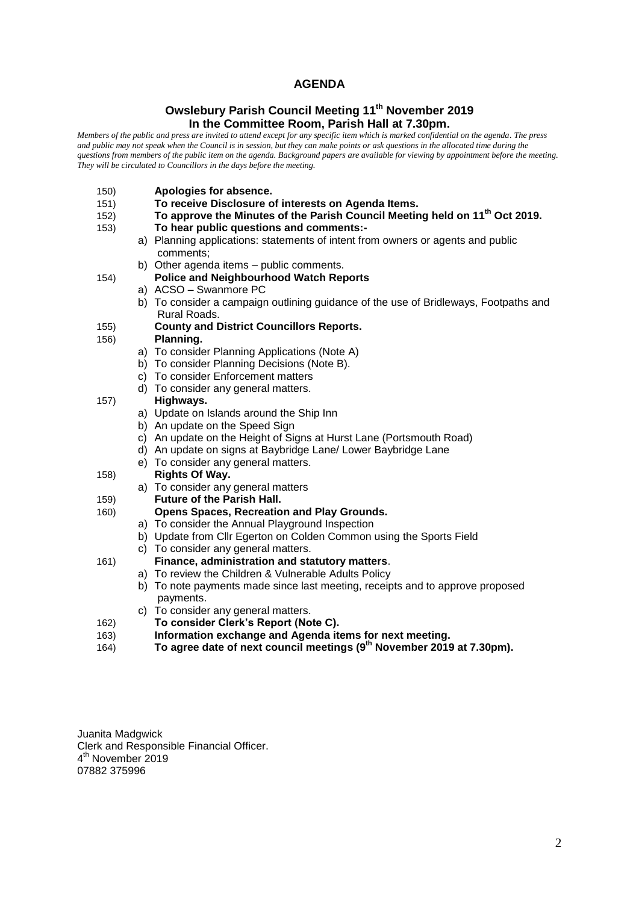## **AGENDA**

## **Owslebury Parish Council Meeting 11th November 2019 In the Committee Room, Parish Hall at 7.30pm.**

*Members of the public and press are invited to attend except for any specific item which is marked confidential on the agenda. The press and public may not speak when the Council is in session, but they can make points or ask questions in the allocated time during the questions from members of the public item on the agenda. Background papers are available for viewing by appointment before the meeting. They will be circulated to Councillors in the days before the meeting.* 

- 150) **Apologies for absence.**
- 151) **To receive Disclosure of interests on Agenda Items.**
- 152) **To approve the Minutes of the Parish Council Meeting held on 11th Oct 2019.**
- 153) **To hear public questions and comments:**
	- a) Planning applications: statements of intent from owners or agents and public comments;
		- b) Other agenda items public comments.
- 154) **Police and Neighbourhood Watch Reports**
	- a) ACSO Swanmore PC
		- b) To consider a campaign outlining guidance of the use of Bridleways, Footpaths and Rural Roads.

# 155) **County and District Councillors Reports.**

- 156) **Planning.** 
	- a) To consider Planning Applications (Note A)
	- b) To consider Planning Decisions (Note B).
	- c) To consider Enforcement matters
	- d) To consider any general matters.

#### 157) **Highways.**

- a) Update on Islands around the Ship Inn
- b) An update on the Speed Sign
- c) An update on the Height of Signs at Hurst Lane (Portsmouth Road)
- d) An update on signs at Baybridge Lane/ Lower Baybridge Lane
- e) To consider any general matters.
- 158) **Rights Of Way.**
	- a) To consider any general matters
- 159) **Future of the Parish Hall.**
- 160) **Opens Spaces, Recreation and Play Grounds.**
	- a) To consider the Annual Playground Inspection
	- b) Update from Cllr Egerton on Colden Common using the Sports Field
	- c) To consider any general matters.

#### 161) **Finance, administration and statutory matters**.

- a) To review the Children & Vulnerable Adults Policy
- b) To note payments made since last meeting, receipts and to approve proposed payments.
- c) To consider any general matters.
- 162) **To consider Clerk's Report (Note C).**
- 163) **Information exchange and Agenda items for next meeting.**
- 164) **To agree date of next council meetings (9 th November 2019 at 7.30pm).**

Juanita Madgwick Clerk and Responsible Financial Officer. 4<sup>th</sup> November 2019 07882 375996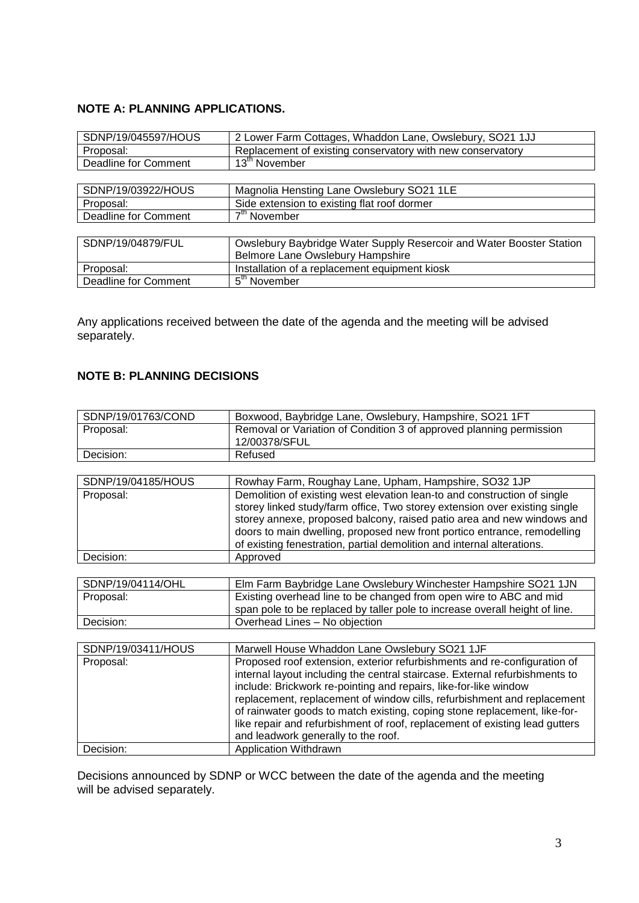# **NOTE A: PLANNING APPLICATIONS.**

| SDNP/19/045597/HOUS         | 2 Lower Farm Cottages, Whaddon Lane, Owslebury, SO21 1JJ             |
|-----------------------------|----------------------------------------------------------------------|
| Proposal:                   | Replacement of existing conservatory with new conservatory           |
| Deadline for Comment        | 13 <sup>th</sup> November                                            |
|                             |                                                                      |
| SDNP/19/03922/HOUS          | Magnolia Hensting Lane Owslebury SO21 1LE                            |
| Proposal:                   | Side extension to existing flat roof dormer                          |
| Deadline for Comment        | 7 <sup>th</sup> November                                             |
|                             |                                                                      |
| SDNP/19/04879/FUL           | Owslebury Baybridge Water Supply Resercoir and Water Booster Station |
|                             | Belmore Lane Owslebury Hampshire                                     |
| Proposal:                   | Installation of a replacement equipment kiosk                        |
| <b>Deadline for Comment</b> | 5 <sup>th</sup> November                                             |

Any applications received between the date of the agenda and the meeting will be advised separately.

# **NOTE B: PLANNING DECISIONS**

| SDNP/19/01763/COND | Boxwood, Baybridge Lane, Owslebury, Hampshire, SO21 1FT                                                                                                                                                                                                                                                                                                                                                                                                                                                   |  |
|--------------------|-----------------------------------------------------------------------------------------------------------------------------------------------------------------------------------------------------------------------------------------------------------------------------------------------------------------------------------------------------------------------------------------------------------------------------------------------------------------------------------------------------------|--|
| Proposal:          | Removal or Variation of Condition 3 of approved planning permission<br>12/00378/SFUL                                                                                                                                                                                                                                                                                                                                                                                                                      |  |
| Decision:          | Refused                                                                                                                                                                                                                                                                                                                                                                                                                                                                                                   |  |
|                    |                                                                                                                                                                                                                                                                                                                                                                                                                                                                                                           |  |
| SDNP/19/04185/HOUS | Rowhay Farm, Roughay Lane, Upham, Hampshire, SO32 1JP                                                                                                                                                                                                                                                                                                                                                                                                                                                     |  |
| Proposal:          | Demolition of existing west elevation lean-to and construction of single<br>storey linked study/farm office, Two storey extension over existing single<br>storey annexe, proposed balcony, raised patio area and new windows and<br>doors to main dwelling, proposed new front portico entrance, remodelling<br>of existing fenestration, partial demolition and internal alterations.                                                                                                                    |  |
| Decision:          | Approved                                                                                                                                                                                                                                                                                                                                                                                                                                                                                                  |  |
|                    |                                                                                                                                                                                                                                                                                                                                                                                                                                                                                                           |  |
| SDNP/19/04114/OHL  | Elm Farm Baybridge Lane Owslebury Winchester Hampshire SO21 1JN                                                                                                                                                                                                                                                                                                                                                                                                                                           |  |
| Proposal:          | Existing overhead line to be changed from open wire to ABC and mid<br>span pole to be replaced by taller pole to increase overall height of line.                                                                                                                                                                                                                                                                                                                                                         |  |
| Decision:          | Overhead Lines - No objection                                                                                                                                                                                                                                                                                                                                                                                                                                                                             |  |
|                    |                                                                                                                                                                                                                                                                                                                                                                                                                                                                                                           |  |
| SDNP/19/03411/HOUS | Marwell House Whaddon Lane Owslebury SO21 1JF                                                                                                                                                                                                                                                                                                                                                                                                                                                             |  |
| Proposal:          | Proposed roof extension, exterior refurbishments and re-configuration of<br>internal layout including the central staircase. External refurbishments to<br>include: Brickwork re-pointing and repairs, like-for-like window<br>replacement, replacement of window cills, refurbishment and replacement<br>of rainwater goods to match existing, coping stone replacement, like-for-<br>like repair and refurbishment of roof, replacement of existing lead gutters<br>and leadwork generally to the roof. |  |
| Decision:          | Application Withdrawn                                                                                                                                                                                                                                                                                                                                                                                                                                                                                     |  |

Decisions announced by SDNP or WCC between the date of the agenda and the meeting will be advised separately.